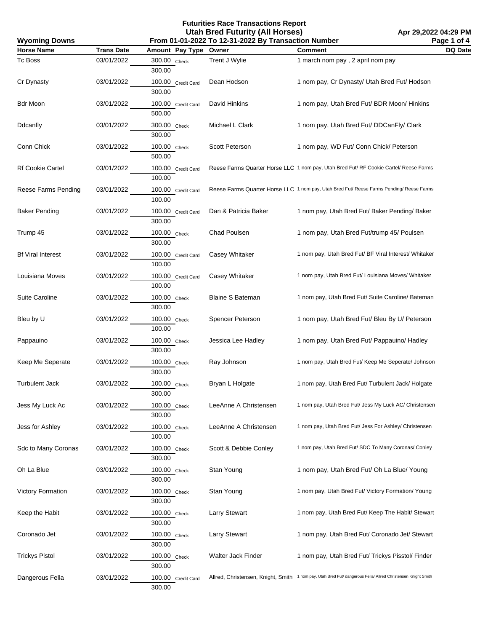**Futurities Race Transactions Report Utah Bred Futurity (All Horses)**

**Apr 29,2022 04:29 PM Page 1 of 4**

| Page 1 of 4<br><b>Wyoming Downs</b><br>From 01-01-2022 To 12-31-2022 By Transaction Number |                   |                              |                         |                                                                                                               |         |
|--------------------------------------------------------------------------------------------|-------------------|------------------------------|-------------------------|---------------------------------------------------------------------------------------------------------------|---------|
| <b>Horse Name</b>                                                                          | <b>Trans Date</b> | Amount Pay Type              | Owner                   | <b>Comment</b>                                                                                                | DQ Date |
| Tc Boss                                                                                    | 03/01/2022        | 300.00 Check<br>300.00       | Trent J Wylie           | 1 march nom pay, 2 april nom pay                                                                              |         |
| Cr Dynasty                                                                                 | 03/01/2022        | 100.00 Credit Card<br>300.00 | Dean Hodson             | 1 nom pay, Cr Dynasty/ Utah Bred Fut/ Hodson                                                                  |         |
| Bdr Moon                                                                                   | 03/01/2022        | 100.00 Credit Card<br>500.00 | David Hinkins           | 1 nom pay, Utah Bred Fut/ BDR Moon/ Hinkins                                                                   |         |
| Ddcanfly                                                                                   | 03/01/2022        | 300.00 Check<br>300.00       | Michael L Clark         | 1 nom pay, Utah Bred Fut/ DDCanFly/ Clark                                                                     |         |
| Conn Chick                                                                                 | 03/01/2022        | 100.00 Check<br>500.00       | Scott Peterson          | 1 nom pay, WD Fut/ Conn Chick/ Peterson                                                                       |         |
| Rf Cookie Cartel                                                                           | 03/01/2022        | 100.00 Credit Card<br>100.00 |                         | Reese Farms Quarter Horse LLC 1 nom pay, Utah Bred Fut/ RF Cookie Cartel/ Reese Farms                         |         |
| Reese Farms Pending                                                                        | 03/01/2022        | 100.00 Credit Card<br>100.00 |                         | Reese Farms Quarter Horse LLC 1 nom pay, Utah Bred Fut/ Reese Farms Pending/ Reese Farms                      |         |
| <b>Baker Pending</b>                                                                       | 03/01/2022        | 100.00 Credit Card<br>300.00 | Dan & Patricia Baker    | 1 nom pay, Utah Bred Fut/ Baker Pending/ Baker                                                                |         |
| Trump 45                                                                                   | 03/01/2022        | 100.00 Check<br>300.00       | Chad Poulsen            | 1 nom pay, Utah Bred Fut/trump 45/ Poulsen                                                                    |         |
| <b>Bf Viral Interest</b>                                                                   | 03/01/2022        | 100.00 Credit Card<br>100.00 | Casey Whitaker          | 1 nom pay, Utah Bred Fut/ BF Viral Interest/ Whitaker                                                         |         |
| Louisiana Moves                                                                            | 03/01/2022        | 100.00 Credit Card<br>100.00 | Casey Whitaker          | 1 nom pay, Utah Bred Fut/ Louisiana Moves/ Whitaker                                                           |         |
| Suite Caroline                                                                             | 03/01/2022        | 100.00 Check<br>300.00       | <b>Blaine S Bateman</b> | 1 nom pay, Utah Bred Fut/ Suite Caroline/ Bateman                                                             |         |
| Bleu by U                                                                                  | 03/01/2022        | 100.00 Check<br>100.00       | Spencer Peterson        | 1 nom pay, Utah Bred Fut/ Bleu By U/ Peterson                                                                 |         |
| Pappauino                                                                                  | 03/01/2022        | 100.00 Check<br>300.00       | Jessica Lee Hadley      | 1 nom pay, Utah Bred Fut/ Pappauino/ Hadley                                                                   |         |
| Keep Me Seperate                                                                           | 03/01/2022        | 100.00 Check<br>300.00       | Ray Johnson             | 1 nom pay, Utah Bred Fut/ Keep Me Seperate/ Johnson                                                           |         |
| <b>Turbulent Jack</b>                                                                      | 03/01/2022        | 100.00 Check<br>300.00       | Bryan L Holgate         | 1 nom pay, Utah Bred Fut/ Turbulent Jack/ Holgate                                                             |         |
| Jess My Luck Ac                                                                            | 03/01/2022        | 100.00 Check<br>300.00       | LeeAnne A Christensen   | 1 nom pay, Utah Bred Fut/ Jess My Luck AC/ Christensen                                                        |         |
| Jess for Ashley                                                                            | 03/01/2022        | 100.00 Check<br>100.00       | LeeAnne A Christensen   | 1 nom pay, Utah Bred Fut/ Jess For Ashley/ Christensen                                                        |         |
| Sdc to Many Coronas                                                                        | 03/01/2022        | 100.00 Check<br>300.00       | Scott & Debbie Conley   | 1 nom pay, Utah Bred Fut/ SDC To Many Coronas/ Conley                                                         |         |
| Oh La Blue                                                                                 | 03/01/2022        | 100.00 Check<br>300.00       | Stan Young              | 1 nom pay, Utah Bred Fut/ Oh La Blue/ Young                                                                   |         |
| <b>Victory Formation</b>                                                                   | 03/01/2022        | 100.00 Check<br>300.00       | Stan Young              | 1 nom pay, Utah Bred Fut/ Victory Formation/ Young                                                            |         |
| Keep the Habit                                                                             | 03/01/2022        | 100.00 Check<br>300.00       | <b>Larry Stewart</b>    | 1 nom pay, Utah Bred Fut/ Keep The Habit/ Stewart                                                             |         |
| Coronado Jet                                                                               | 03/01/2022        | 100.00 Check<br>300.00       | <b>Larry Stewart</b>    | 1 nom pay, Utah Bred Fut/ Coronado Jet/ Stewart                                                               |         |
| <b>Trickys Pistol</b>                                                                      | 03/01/2022        | 100.00 Check<br>300.00       | Walter Jack Finder      | 1 nom pay, Utah Bred Fut/ Trickys Pisstol/ Finder                                                             |         |
| Dangerous Fella                                                                            | 03/01/2022        | 100.00 Credit Card<br>300.00 |                         | Allred, Christensen, Knight, Smith 1 nom pay, Utah Bred Fut/ dangerous Fella/ Allred Christensen Knight Smith |         |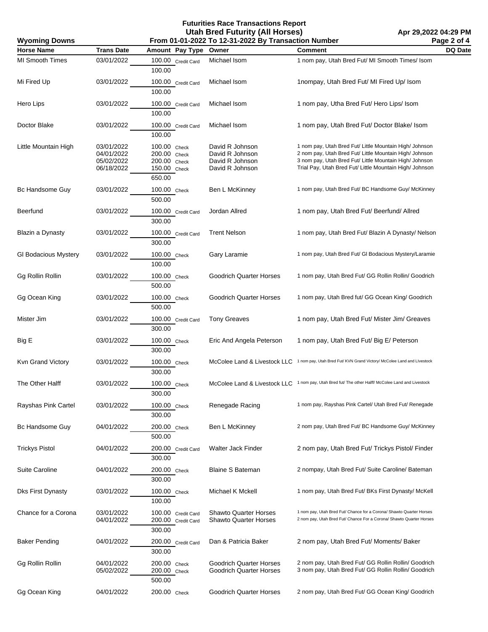## **Futurities Race Transactions Report Utah Bred Futurity (All Horses)**

| <b>Wyoming Downs</b>        |                                                      | From 01-01-2022 To 12-31-2022 By Transaction Number                    | Page 2 of 4                                                              |                                                                                                                                                                                                                                          |         |
|-----------------------------|------------------------------------------------------|------------------------------------------------------------------------|--------------------------------------------------------------------------|------------------------------------------------------------------------------------------------------------------------------------------------------------------------------------------------------------------------------------------|---------|
| <b>Horse Name</b>           | <b>Trans Date</b>                                    | Amount Pay Type                                                        | Owner                                                                    | <b>Comment</b>                                                                                                                                                                                                                           | DQ Date |
| <b>MI Smooth Times</b>      | 03/01/2022                                           | 100.00 Credit Card<br>100.00                                           | Michael Isom                                                             | 1 nom pay, Utah Bred Fut/ MI Smooth Times/ Isom                                                                                                                                                                                          |         |
| Mi Fired Up                 | 03/01/2022                                           | 100.00 Credit Card<br>100.00                                           | Michael Isom                                                             | 1nompay, Utah Bred Fut/ MI Fired Up/ Isom                                                                                                                                                                                                |         |
| Hero Lips                   | 03/01/2022                                           | 100.00 Credit Card<br>100.00                                           | Michael Isom                                                             | 1 nom pay, Utha Bred Fut/ Hero Lips/ Isom                                                                                                                                                                                                |         |
| Doctor Blake                | 03/01/2022                                           | 100.00 Credit Card<br>100.00                                           | Michael Isom                                                             | 1 nom pay, Utah Bred Fut/ Doctor Blake/ Isom                                                                                                                                                                                             |         |
| Little Mountain High        | 03/01/2022<br>04/01/2022<br>05/02/2022<br>06/18/2022 | 100.00 Check<br>200.00 Check<br>200.00 Check<br>150.00 Check<br>650.00 | David R Johnson<br>David R Johnson<br>David R Johnson<br>David R Johnson | 1 nom pay, Utah Bred Fut/ Little Mountain High/ Johnson<br>2 nom pay, Utah Bred Fut/ Little Mountain High/ Johnson<br>3 nom pay, Utah Bred Fut/ Little Mountain High/ Johnson<br>Trial Pay, Utah Bred Fut/ Little Mountain High/ Johnson |         |
| Bc Handsome Guy             | 03/01/2022                                           | 100.00 Check<br>500.00                                                 | Ben L McKinney                                                           | 1 nom pay, Utah Bred Fut/ BC Handsome Guy/ McKinney                                                                                                                                                                                      |         |
| Beerfund                    | 03/01/2022                                           | 100.00 Credit Card<br>300.00                                           | Jordan Allred                                                            | 1 nom pay, Utah Bred Fut/ Beerfund/ Allred                                                                                                                                                                                               |         |
| Blazin a Dynasty            | 03/01/2022                                           | 100.00 Credit Card<br>300.00                                           | <b>Trent Nelson</b>                                                      | 1 nom pay, Utah Bred Fut/ Blazin A Dynasty/ Nelson                                                                                                                                                                                       |         |
| <b>GI Bodacious Mystery</b> | 03/01/2022                                           | 100.00 Check<br>100.00                                                 | Gary Laramie                                                             | 1 nom pay, Utah Bred Fut/ GI Bodacious Mystery/Laramie                                                                                                                                                                                   |         |
| Gg Rollin Rollin            | 03/01/2022                                           | 100.00 Check<br>500.00                                                 | <b>Goodrich Quarter Horses</b>                                           | 1 nom pay, Utah Bred Fut/ GG Rollin Rollin/ Goodrich                                                                                                                                                                                     |         |
| Gg Ocean King               | 03/01/2022                                           | 100.00 Check<br>500.00                                                 | <b>Goodrich Quarter Horses</b>                                           | 1 nom pay, Utah Bred fut/ GG Ocean King/ Goodrich                                                                                                                                                                                        |         |
| Mister Jim                  | 03/01/2022                                           | 100.00 Credit Card<br>300.00                                           | <b>Tony Greaves</b>                                                      | 1 nom pay, Utah Bred Fut/ Mister Jim/ Greaves                                                                                                                                                                                            |         |
| Big E                       | 03/01/2022                                           | 100.00 Check<br>300.00                                                 | Eric And Angela Peterson                                                 | 1 nom pay, Utah Bred Fut/ Big E/ Peterson                                                                                                                                                                                                |         |
| Kvn Grand Victory           | 03/01/2022                                           | 100.00 Check<br>300.00                                                 | McColee Land & Livestock LLC                                             | 1 nom pay, Utah Bred Fut/ KVN Grand Victory/ McColee Land and Livestock                                                                                                                                                                  |         |
| The Other Halff             | 03/01/2022                                           | 100.00 Check<br>300.00                                                 |                                                                          | McColee Land & Livestock LLC 1 nom pay, Utah Bred fut/ The other Halff/ McColee Land and Livestock                                                                                                                                       |         |
| Rayshas Pink Cartel         | 03/01/2022                                           | 100.00 Check<br>300.00                                                 | Renegade Racing                                                          | 1 nom pay, Rayshas Pink Cartel/ Utah Bred Fut/ Renegade                                                                                                                                                                                  |         |
| Bc Handsome Guy             | 04/01/2022                                           | 200.00 Check<br>500.00                                                 | Ben L McKinney                                                           | 2 nom pay, Utah Bred Fut/ BC Handsome Guy/ McKinney                                                                                                                                                                                      |         |
| <b>Trickys Pistol</b>       | 04/01/2022                                           | 200.00 Credit Card<br>300.00                                           | <b>Walter Jack Finder</b>                                                | 2 nom pay, Utah Bred Fut/ Trickys Pistol/ Finder                                                                                                                                                                                         |         |
| Suite Caroline              | 04/01/2022                                           | 200.00 Check<br>300.00                                                 | <b>Blaine S Bateman</b>                                                  | 2 nompay, Utah Bred Fut/ Suite Caroline/ Bateman                                                                                                                                                                                         |         |
| <b>Dks First Dynasty</b>    | 03/01/2022                                           | 100.00 Check<br>100.00                                                 | Michael K Mckell                                                         | 1 nom pay, Utah Bred Fut/ BKs First Dynasty/ McKell                                                                                                                                                                                      |         |
| Chance for a Corona         | 03/01/2022<br>04/01/2022                             | 100.00 Credit Card<br>200.00 Credit Card<br>300.00                     | <b>Shawto Quarter Horses</b><br><b>Shawto Quarter Horses</b>             | 1 nom pay, Utah Bred Fut/ Chance for a Corona/ Shawto Quarter Horses<br>2 nom pay, Utah Bred Fut/ Chance For a Corona/ Shawto Quarter Horses                                                                                             |         |
| <b>Baker Pending</b>        | 04/01/2022                                           | 200.00 Credit Card<br>300.00                                           | Dan & Patricia Baker                                                     | 2 nom pay, Utah Bred Fut/ Moments/ Baker                                                                                                                                                                                                 |         |
| Gg Rollin Rollin            | 04/01/2022<br>05/02/2022                             | 200.00 Check<br>200.00 Check<br>500.00                                 | <b>Goodrich Quarter Horses</b><br>Goodrich Quarter Horses                | 2 nom pay, Utah Bred Fut/ GG Rollin Rollin/ Goodrich<br>3 nom pay, Utah Bred Fut/ GG Rollin Rollin/ Goodrich                                                                                                                             |         |
| Gg Ocean King               | 04/01/2022                                           | 200.00 Check                                                           | Goodrich Quarter Horses                                                  | 2 nom pay, Utah Bred Fut/ GG Ocean King/ Goodrich                                                                                                                                                                                        |         |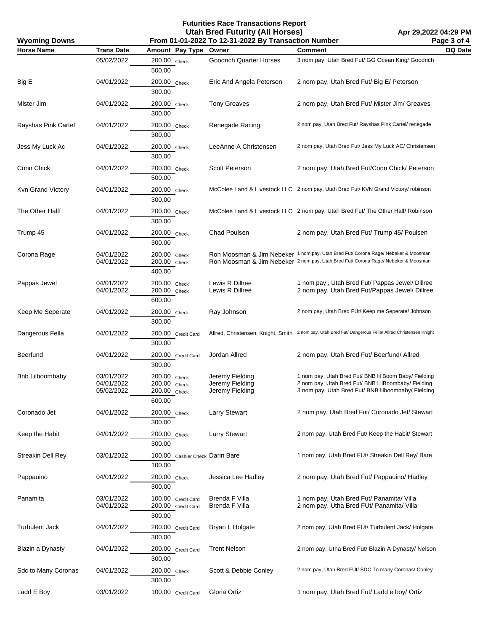## **Futurities Race Transactions Report Utah Bred Futurity (All Horses)**

| <b>Wyoming Downs</b>     | .<br>From 01-01-2022 To 12-31-2022 By Transaction Number<br>Page 3 of 4 |                                                        |                                                       |                                                                                                                                                                          |         |
|--------------------------|-------------------------------------------------------------------------|--------------------------------------------------------|-------------------------------------------------------|--------------------------------------------------------------------------------------------------------------------------------------------------------------------------|---------|
| <b>Horse Name</b>        | <b>Trans Date</b>                                                       | Amount Pay Type Owner                                  |                                                       | Comment                                                                                                                                                                  | DQ Date |
|                          | 05/02/2022                                                              | 200.00 Check<br>500.00                                 | <b>Goodrich Quarter Horses</b>                        | 3 nom pay, Utah Bred Fut/ GG Ocean King/ Goodrich                                                                                                                        |         |
| Big E                    | 04/01/2022                                                              | 200.00 Check<br>300.00                                 | Eric And Angela Peterson                              | 2 nom pay, Utah Bred Fut/ Big E/ Peterson                                                                                                                                |         |
| Mister Jim               | 04/01/2022                                                              | 200.00 Check<br>300.00                                 | <b>Tony Greaves</b>                                   | 2 nom pay, Utah Bred Fut/ Mister Jim/ Greaves                                                                                                                            |         |
| Rayshas Pink Cartel      | 04/01/2022                                                              | 200.00 Check<br>300.00                                 | Renegade Racing                                       | 2 nom pay, Utah Bred Fut/ Rayshas Pink Cartel/ renegade                                                                                                                  |         |
| Jess My Luck Ac          | 04/01/2022                                                              | 200.00 Check<br>300.00                                 | LeeAnne A Christensen                                 | 2 nom pay, Utah Bred Fut/ Jess My Luck AC/ Christensen                                                                                                                   |         |
| Conn Chick               | 04/01/2022                                                              | 200.00 Check<br>500.00                                 | Scott Peterson                                        | 2 nom pay, Utah Bred Fut/Conn Chick/ Peterson                                                                                                                            |         |
| Kvn Grand Victory        | 04/01/2022                                                              | 200.00 Check<br>300.00                                 |                                                       | McColee Land & Livestock LLC 2 nom pay, Utah Bred Fut/ KVN Grand Victory/ robinson                                                                                       |         |
| The Other Halff          | 04/01/2022                                                              | 200.00 Check<br>300.00                                 |                                                       | McColee Land & Livestock LLC 2 nom pay, Utah Bred Fut/ The Other Half/ Robinson                                                                                          |         |
| Trump 45                 | 04/01/2022                                                              | 200.00 Check<br>300.00                                 | Chad Poulsen                                          | 2 nom pay, Utah Bred Fut/ Trump 45/ Poulsen                                                                                                                              |         |
| Corona Rage              | 04/01/2022<br>04/01/2022                                                | 200.00 Check<br>200.00 Check<br>400.00                 |                                                       | Ron Moosman & Jim Nebeker 1 nom pay, Utah Bred Fut/ Corona Rage/ Nebeker & Moosman<br>Ron Moosman & Jim Nebeker 2 nom pay, Utah Bred Fut/ Corona Rage/ Nebeker & Moosman |         |
| Pappas Jewel             | 04/01/2022<br>04/01/2022                                                | 200.00 Check<br>200.00 Check<br>600.00                 | Lewis R Dillree<br>Lewis R Dillree                    | 1 nom pay, Utah Bred Fut/ Pappas Jewel/ Dillree<br>2 nom pay, Utah Bred Fut/Pappas Jewel/ Dillree                                                                        |         |
| Keep Me Seperate         | 04/01/2022                                                              | 200.00 Check<br>300.00                                 | Ray Johnson                                           | 2 nom pay, Utah Bred FUt/ Keep me Seperate/ Johnson                                                                                                                      |         |
| Dangerous Fella          | 04/01/2022                                                              | 200.00 Credit Card<br>300.00                           |                                                       | Allred, Christensen, Knight, Smith 2 nom pay, Utah Bred Fut/ Dangerous Fella/ Allred Christensen Knight                                                                  |         |
| Beerfund                 | 04/01/2022                                                              | 200.00 Credit Card<br>300.00                           | Jordan Allred                                         | 2 nom pay, Utah Bred Fut/ Beerfund/ Allred                                                                                                                               |         |
| Bnb Lilboombaby          | 03/01/2022<br>04/01/2022<br>05/02/2022                                  | 200.00 Check<br>200.00 Check<br>200.00 Check<br>600.00 | Jeremy Fielding<br>Jeremy Fielding<br>Jeremy Fielding | 1 nom pay, Utah Bred Fut/ BNB Iil Boom Baby/ Fielding<br>2 nom pay, Utah Bred Fut/ BNB LilBoombaby/ Fielding<br>3 nom pay, Utah Bred Fut/ BNB lilboombaby/ Fielding      |         |
| Coronado Jet             | 04/01/2022                                                              | 200.00 Check<br>300.00                                 | <b>Larry Stewart</b>                                  | 2 nom pay, Utah Bred Fut/ Coronado Jet/ Stewart                                                                                                                          |         |
| Keep the Habit           | 04/01/2022                                                              | 200.00 Check<br>300.00                                 | <b>Larry Stewart</b>                                  | 2 nom pay, Utah Bred Fut/ Keep the Habit/ Stewart                                                                                                                        |         |
| <b>Streakin Dell Rey</b> | 03/01/2022                                                              | 100.00 Cashier Check Darin Bare<br>100.00              |                                                       | 1 nom pay, Utah Bred FUt/ Streakin Dell Rey/ Bare                                                                                                                        |         |
| Pappauino                | 04/01/2022                                                              | 200.00 Check<br>300.00                                 | Jessica Lee Hadley                                    | 2 nom pay, Utah Bred Fut/ Pappauino/ Hadley                                                                                                                              |         |
| Panamita                 | 03/01/2022<br>04/01/2022                                                | 100.00 Credit Card<br>200.00 Credit Card<br>300.00     | Brenda F Villa<br>Brenda F Villa                      | 1 nom pay, Utah Bred Fut/ Panamita/ Villa<br>2 nom pay, Utha Bred FUt/ Panamita/ Villa                                                                                   |         |
| <b>Turbulent Jack</b>    | 04/01/2022                                                              | 200.00 Credit Card<br>300.00                           | Bryan L Holgate                                       | 2 nom pay, Utah Bred FUt/ Turbulent Jack/ Holgate                                                                                                                        |         |
| Blazin a Dynasty         | 04/01/2022                                                              | 200.00 Credit Card<br>300.00                           | <b>Trent Nelson</b>                                   | 2 nom pay, Utha Bred Fut/ Blazin A Dynasty/ Nelson                                                                                                                       |         |
| Sdc to Many Coronas      | 04/01/2022                                                              | 200.00 Check<br>300.00                                 | Scott & Debbie Conley                                 | 2 nom pay, Utah Bred FUt/ SDC To many Coronas/ Conley                                                                                                                    |         |
| Ladd E Boy               | 03/01/2022                                                              | 100.00 Credit Card                                     | Gloria Ortiz                                          | 1 nom pay, Utah Bred Fut/ Ladd e boy/ Ortiz                                                                                                                              |         |